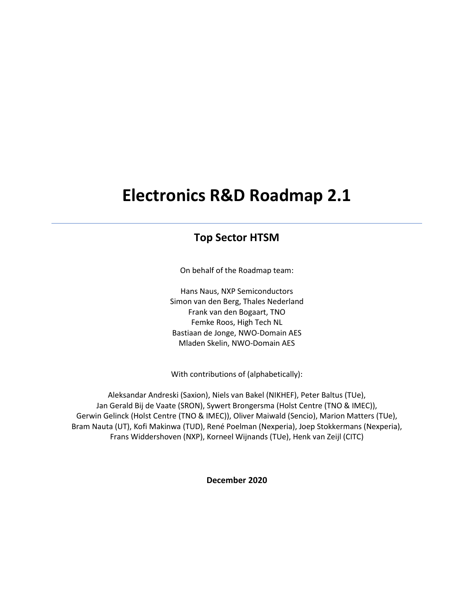# **Electronics R&D Roadmap 2.1**

# **Top Sector HTSM**

On behalf of the Roadmap team:

Hans Naus, NXP Semiconductors Simon van den Berg, Thales Nederland Frank van den Bogaart, TNO Femke Roos, High Tech NL Bastiaan de Jonge, NWO-Domain AES Mladen Skelin, NWO-Domain AES

With contributions of (alphabetically):

Aleksandar Andreski (Saxion), Niels van Bakel (NIKHEF), Peter Baltus (TUe), Jan Gerald Bij de Vaate (SRON), Sywert Brongersma (Holst Centre (TNO & IMEC)), Gerwin Gelinck (Holst Centre (TNO & IMEC)), Oliver Maiwald (Sencio), Marion Matters (TUe), Bram Nauta (UT), Kofi Makinwa (TUD), René Poelman (Nexperia), Joep Stokkermans (Nexperia), Frans Widdershoven (NXP), Korneel Wijnands (TUe), Henk van Zeijl (CITC)

**December 2020**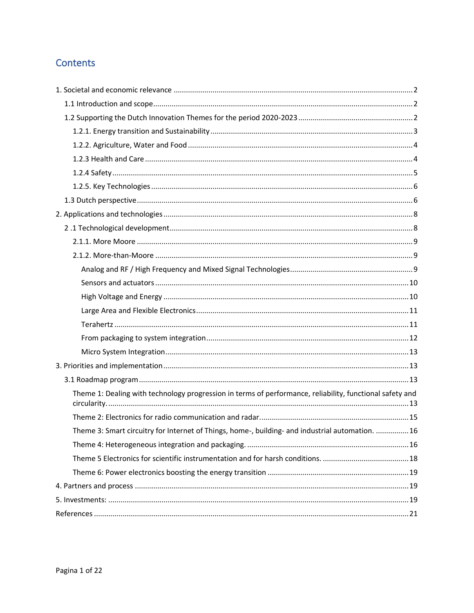# Contents

| Theme 1: Dealing with technology progression in terms of performance, reliability, functional safety and |  |
|----------------------------------------------------------------------------------------------------------|--|
|                                                                                                          |  |
| Theme 3: Smart circuitry for Internet of Things, home-, building- and industrial automation. 16          |  |
|                                                                                                          |  |
|                                                                                                          |  |
|                                                                                                          |  |
|                                                                                                          |  |
|                                                                                                          |  |
|                                                                                                          |  |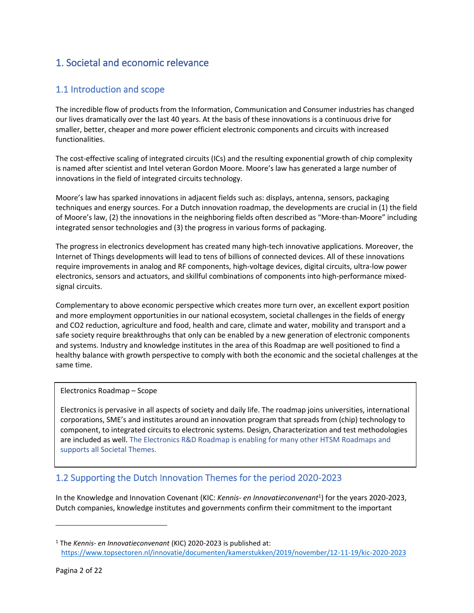# <span id="page-2-0"></span>1. Societal and economic relevance

# <span id="page-2-1"></span>1.1 Introduction and scope

The incredible flow of products from the Information, Communication and Consumer industries has changed our lives dramatically over the last 40 years. At the basis of these innovations is a continuous drive for smaller, better, cheaper and more power efficient electronic components and circuits with increased functionalities.

The cost-effective scaling of integrated circuits (ICs) and the resulting exponential growth of chip complexity is named after scientist and Intel veteran Gordon Moore. Moore's law has generated a large number of innovations in the field of integrated circuits technology.

Moore's law has sparked innovations in adjacent fields such as: displays, antenna, sensors, packaging techniques and energy sources. For a Dutch innovation roadmap, the developments are crucial in (1) the field of Moore's law, (2) the innovations in the neighboring fields often described as "More-than-Moore" including integrated sensor technologies and (3) the progress in various forms of packaging.

The progress in electronics development has created many high-tech innovative applications. Moreover, the Internet of Things developments will lead to tens of billions of connected devices. All of these innovations require improvements in analog and RF components, high-voltage devices, digital circuits, ultra-low power electronics, sensors and actuators, and skillful combinations of components into high-performance mixedsignal circuits.

Complementary to above economic perspective which creates more turn over, an excellent export position and more employment opportunities in our national ecosystem, societal challenges in the fields of energy and CO2 reduction, agriculture and food, health and care, climate and water, mobility and transport and a safe society require breakthroughs that only can be enabled by a new generation of electronic components and systems. Industry and knowledge institutes in the area of this Roadmap are well positioned to find a healthy balance with growth perspective to comply with both the economic and the societal challenges at the same time.

#### Electronics Roadmap – Scope

Electronics is pervasive in all aspects of society and daily life. The roadmap joins universities, international corporations, SME's and institutes around an innovation program that spreads from (chip) technology to component, to integrated circuits to electronic systems. Design, Characterization and test methodologies are included as well. The Electronics R&D Roadmap is enabling for many other HTSM Roadmaps and supports all Societal Themes.

# <span id="page-2-2"></span>1.2 Supporting the Dutch Innovation Themes for the period 2020-2023

In the Knowledge and Innovation Covenant (KIC: *Kennis- en Innovatieconvenant*<sup>1</sup> ) for the years 2020-2023, Dutch companies, knowledge institutes and governments confirm their commitment to the important

<sup>1</sup> The *Kennis- en Innovatieconvenant* (KIC) 2020-2023 is published at: <https://www.topsectoren.nl/innovatie/documenten/kamerstukken/2019/november/12-11-19/kic-2020-2023>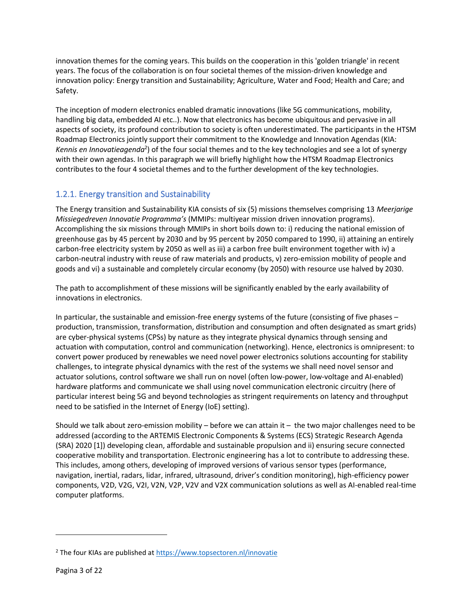innovation themes for the coming years. This builds on the cooperation in this 'golden triangle' in recent years. The focus of the collaboration is on four societal themes of the mission-driven knowledge and innovation policy: Energy transition and Sustainability; Agriculture, Water and Food; Health and Care; and Safety.

The inception of modern electronics enabled dramatic innovations (like 5G communications, mobility, handling big data, embedded AI etc..). Now that electronics has become ubiquitous and pervasive in all aspects of society, its profound contribution to society is often underestimated. The participants in the HTSM Roadmap Electronics jointly support their commitment to the Knowledge and Innovation Agendas (KIA: Kennis en Innovatieagenda<sup>2</sup>) of the four social themes and to the key technologies and see a lot of synergy with their own agendas. In this paragraph we will briefly highlight how the HTSM Roadmap Electronics contributes to the four 4 societal themes and to the further development of the key technologies.

# <span id="page-3-0"></span>1.2.1. Energy transition and Sustainability

The Energy transition and Sustainability KIA consists of six (5) missions themselves comprising 13 *Meerjarige Missiegedreven Innovatie Programma's* (MMIPs: multiyear mission driven innovation programs). Accomplishing the six missions through MMIPs in short boils down to: i) reducing the national emission of greenhouse gas by 45 percent by 2030 and by 95 percent by 2050 compared to 1990, ii) attaining an entirely carbon-free electricity system by 2050 as well as iii) a carbon free built environment together with iv) a carbon-neutral industry with reuse of raw materials and products, v) zero-emission mobility of people and goods and vi) a sustainable and completely circular economy (by 2050) with resource use halved by 2030.

The path to accomplishment of these missions will be significantly enabled by the early availability of innovations in electronics.

In particular, the sustainable and emission-free energy systems of the future (consisting of five phases – production, transmission, transformation, distribution and consumption and often designated as smart grids) are cyber-physical systems (CPSs) by nature as they integrate physical dynamics through sensing and actuation with computation, control and communication (networking). Hence, electronics is omnipresent: to convert power produced by renewables we need novel power electronics solutions accounting for stability challenges, to integrate physical dynamics with the rest of the systems we shall need novel sensor and actuator solutions, control software we shall run on novel (often low-power, low-voltage and AI-enabled) hardware platforms and communicate we shall using novel communication electronic circuitry (here of particular interest being 5G and beyond technologies as stringent requirements on latency and throughput need to be satisfied in the Internet of Energy (IoE) setting).

Should we talk about zero-emission mobility – before we can attain it – the two major challenges need to be addressed (according to the ARTEMIS Electronic Components & Systems (ECS) Strategic Research Agenda (SRA) 2020 [\[1\]](#page-21-1)) developing clean, affordable and sustainable propulsion and ii) ensuring secure connected cooperative mobility and transportation. Electronic engineering has a lot to contribute to addressing these. This includes, among others, developing of improved versions of various sensor types (performance, navigation, inertial, radars, lidar, infrared, ultrasound, driver's condition monitoring), high-efficiency power components, V2D, V2G, V2I, V2N, V2P, V2V and V2X communication solutions as well as AI-enabled real-time computer platforms.

<sup>&</sup>lt;sup>2</sup> The four KIAs are published at<https://www.topsectoren.nl/innovatie>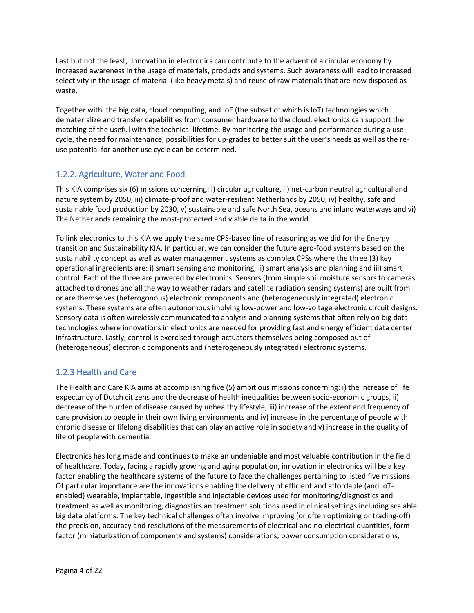Last but not the least, innovation in electronics can contribute to the advent of a circular economy by increased awareness in the usage of materials, products and systems. Such awareness will lead to increased selectivity in the usage of material (like heavy metals) and reuse of raw materials that are now disposed as waste.

Together with the big data, cloud computing, and IoE (the subset of which is IoT) technologies which dematerialize and transfer capabilities from consumer hardware to the cloud, electronics can support the matching of the useful with the technical lifetime. By monitoring the usage and performance during a use cycle, the need for maintenance, possibilities for up-grades to better suit the user's needs as well as the reuse potential for another use cycle can be determined.

# <span id="page-4-0"></span>1.2.2. Agriculture, Water and Food

This KIA comprises six (6) missions concerning: i) circular agriculture, ii) net-carbon neutral agricultural and nature system by 2050, iii) climate-proof and water-resilient Netherlands by 2050, iv) healthy, safe and sustainable food production by 2030, v) sustainable and safe North Sea, oceans and inland waterways and vi) The Netherlands remaining the most-protected and viable delta in the world.

To link electronics to this KIA we apply the same CPS-based line of reasoning as we did for the Energy transition and Sustainability KIA. In particular, we can consider the future agro-food systems based on the sustainability concept as well as water management systems as complex CPSs where the three (3) key operational ingredients are: i) smart sensing and monitoring, ii) smart analysis and planning and iii) smart control. Each of the three are powered by electronics. Sensors (from simple soil moisture sensors to cameras attached to drones and all the way to weather radars and satellite radiation sensing systems) are built from or are themselves (heterogonous) electronic components and (heterogeneously integrated) electronic systems. These systems are often autonomous implying low-power and low-voltage electronic circuit designs. Sensory data is often wirelessly communicated to analysis and planning systems that often rely on big data technologies where innovations in electronics are needed for providing fast and energy efficient data center infrastructure. Lastly, control is exercised through actuators themselves being composed out of (heterogeneous) electronic components and (heterogeneously integrated) electronic systems.

# <span id="page-4-1"></span>1.2.3 Health and Care

The Health and Care KIA aims at accomplishing five (5) ambitious missions concerning: i) the increase of life expectancy of Dutch citizens and the decrease of health inequalities between socio-economic groups, ii) decrease of the burden of disease caused by unhealthy lifestyle, iii) increase of the extent and frequency of care provision to people in their own living environments and iv) increase in the percentage of people with chronic disease or lifelong disabilities that can play an active role in society and v) increase in the quality of life of people with dementia.

Electronics has long made and continues to make an undeniable and most valuable contribution in the field of healthcare. Today, facing a rapidly growing and aging population, innovation in electronics will be a key factor enabling the healthcare systems of the future to face the challenges pertaining to listed five missions. Of particular importance are the innovations enabling the delivery of efficient and affordable (and IoTenabled) wearable, implantable, ingestible and injectable devices used for monitoring/diagnostics and treatment as well as monitoring, diagnostics an treatment solutions used in clinical settings including scalable big data platforms. The key technical challenges often involve improving (or often optimizing or trading-off) the precision, accuracy and resolutions of the measurements of electrical and no-electrical quantities, form factor (miniaturization of components and systems) considerations, power consumption considerations,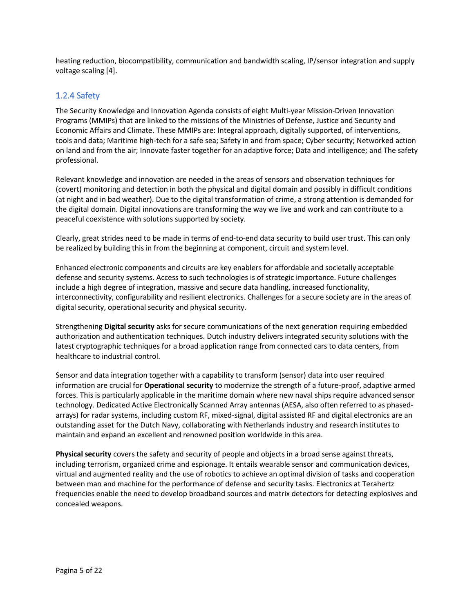heating reduction, biocompatibility, communication and bandwidth scaling, IP/sensor integration and supply voltage scaling [\[4\]](#page-21-2).

### <span id="page-5-0"></span>1.2.4 Safety

The Security Knowledge and Innovation Agenda consists of eight Multi-year Mission-Driven Innovation Programs (MMIPs) that are linked to the missions of the Ministries of Defense, Justice and Security and Economic Affairs and Climate. These MMIPs are: Integral approach, digitally supported, of interventions, tools and data; Maritime high-tech for a safe sea; Safety in and from space; Cyber security; Networked action on land and from the air; Innovate faster together for an adaptive force; Data and intelligence; and The safety professional.

Relevant knowledge and innovation are needed in the areas of sensors and observation techniques for (covert) monitoring and detection in both the physical and digital domain and possibly in difficult conditions (at night and in bad weather). Due to the digital transformation of crime, a strong attention is demanded for the digital domain. Digital innovations are transforming the way we live and work and can contribute to a peaceful coexistence with solutions supported by society.

Clearly, great strides need to be made in terms of end-to-end data security to build user trust. This can only be realized by building this in from the beginning at component, circuit and system level.

Enhanced electronic components and circuits are key enablers for affordable and societally acceptable defense and security systems. Access to such technologies is of strategic importance. Future challenges include a high degree of integration, massive and secure data handling, increased functionality, interconnectivity, configurability and resilient electronics. Challenges for a secure society are in the areas of digital security, operational security and physical security.

Strengthening **Digital security** asks for secure communications of the next generation requiring embedded authorization and authentication techniques. Dutch industry delivers integrated security solutions with the latest cryptographic techniques for a broad application range from connected cars to data centers, from healthcare to industrial control.

Sensor and data integration together with a capability to transform (sensor) data into user required information are crucial for **Operational security** to modernize the strength of a future-proof, adaptive armed forces. This is particularly applicable in the maritime domain where new naval ships require advanced sensor technology. Dedicated Active Electronically Scanned Array antennas (AESA, also often referred to as phasedarrays) for radar systems, including custom RF, mixed-signal, digital assisted RF and digital electronics are an outstanding asset for the Dutch Navy, collaborating with Netherlands industry and research institutes to maintain and expand an excellent and renowned position worldwide in this area.

**Physical security** covers the safety and security of people and objects in a broad sense against threats, including terrorism, organized crime and espionage. It entails wearable sensor and communication devices, virtual and augmented reality and the use of robotics to achieve an optimal division of tasks and cooperation between man and machine for the performance of defense and security tasks. Electronics at Terahertz frequencies enable the need to develop broadband sources and matrix detectors for detecting explosives and concealed weapons.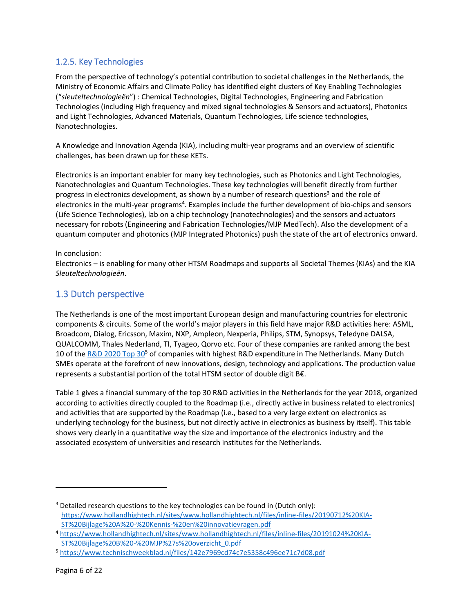# <span id="page-6-0"></span>1.2.5. Key Technologies

From the perspective of technology's potential contribution to societal challenges in the Netherlands, the Ministry of Economic Affairs and Climate Policy has identified eight clusters of Key Enabling Technologies ("*sleuteltechnologieën*") : Chemical Technologies, Digital Technologies, Engineering and Fabrication Technologies (including High frequency and mixed signal technologies & Sensors and actuators), Photonics and Light Technologies, Advanced Materials, Quantum Technologies, Life science technologies, Nanotechnologies.

A Knowledge and Innovation Agenda (KIA), including multi-year programs and an overview of scientific challenges, has been drawn up for these KETs.

Electronics is an important enabler for many key technologies, such as Photonics and Light Technologies, Nanotechnologies and Quantum Technologies. These key technologies will benefit directly from further progress in electronics development, as shown by a number of research questions<sup>3</sup> and the role of electronics in the multi-year programs<sup>4</sup>. Examples include the further development of bio-chips and sensors (Life Science Technologies), lab on a chip technology (nanotechnologies) and the sensors and actuators necessary for robots (Engineering and Fabrication Technologies/MJP MedTech). Also the development of a quantum computer and photonics (MJP Integrated Photonics) push the state of the art of electronics onward.

#### In conclusion:

Electronics – is enabling for many other HTSM Roadmaps and supports all Societal Themes (KIAs) and the KIA *Sleuteltechnologieën*.

## <span id="page-6-1"></span>1.3 Dutch perspective

The Netherlands is one of the most important European design and manufacturing countries for electronic components & circuits. Some of the world's major players in this field have major R&D activities here: ASML, Broadcom, Dialog, Ericsson, Maxim, NXP, Ampleon, Nexperia, Philips, STM, Synopsys, Teledyne DALSA, QUALCOMM, Thales Nederland, TI, Tyageo, Qorvo etc. Four of these companies are ranked among the best 10 of the [R&D 2020 Top 30](https://www.technischweekblad.nl/files/142e7969cd74c7e5358c496ee71c7d08.pdf)<sup>5</sup> of companies with highest R&D expenditure in The Netherlands. Many Dutch SMEs operate at the forefront of new innovations, design, technology and applications. The production value represents a substantial portion of the total HTSM sector of double digit B€.

[Table 1](#page-7-0) gives a financial summary of the top 30 R&D activities in the Netherlands for the year 2018, organized according to activities directly coupled to the Roadmap (i.e., directly active in business related to electronics) and activities that are supported by the Roadmap (i.e., based to a very large extent on electronics as underlying technology for the business, but not directly active in electronics as business by itself). This table shows very clearly in a quantitative way the size and importance of the electronics industry and the associated ecosystem of universities and research institutes for the Netherlands.

<sup>&</sup>lt;sup>3</sup> Detailed research questions to the key technologies can be found in (Dutch only): [https://www.hollandhightech.nl/sites/www.hollandhightech.nl/files/inline-files/20190712%20KIA-](https://www.hollandhightech.nl/sites/www.hollandhightech.nl/files/inline-files/20190712%20KIA-ST%20Bijlage%20A%20-%20Kennis-%20en%20innovatievragen.pdf)[ST%20Bijlage%20A%20-%20Kennis-%20en%20innovatievragen.pdf](https://www.hollandhightech.nl/sites/www.hollandhightech.nl/files/inline-files/20190712%20KIA-ST%20Bijlage%20A%20-%20Kennis-%20en%20innovatievragen.pdf)

<sup>4</sup> [https://www.hollandhightech.nl/sites/www.hollandhightech.nl/files/inline-files/20191024%20KIA-](https://www.hollandhightech.nl/sites/www.hollandhightech.nl/files/inline-files/20191024%20KIA-ST%20Bijlage%20B%20-%20MJP%27s%20overzicht_0.pdf)[ST%20Bijlage%20B%20-%20MJP%27s%20overzicht\\_0.pdf](https://www.hollandhightech.nl/sites/www.hollandhightech.nl/files/inline-files/20191024%20KIA-ST%20Bijlage%20B%20-%20MJP%27s%20overzicht_0.pdf)

<sup>5</sup> <https://www.technischweekblad.nl/files/142e7969cd74c7e5358c496ee71c7d08.pdf>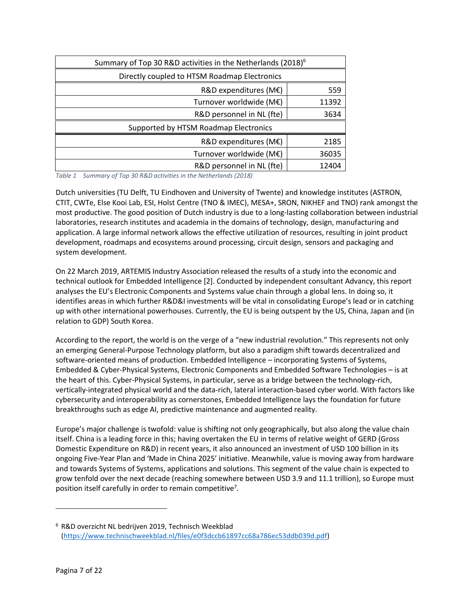| Summary of Top 30 R&D activities in the Netherlands (2018) <sup>6</sup> |       |  |  |
|-------------------------------------------------------------------------|-------|--|--|
| Directly coupled to HTSM Roadmap Electronics                            |       |  |  |
| R&D expenditures (M€)                                                   | 559   |  |  |
| Turnover worldwide (M€)                                                 | 11392 |  |  |
| R&D personnel in NL (fte)                                               | 3634  |  |  |
| Supported by HTSM Roadmap Electronics                                   |       |  |  |
| R&D expenditures (M€)                                                   | 2185  |  |  |
| Turnover worldwide (M€)                                                 | 36035 |  |  |
| R&D personnel in NL (fte)                                               | 12404 |  |  |

<span id="page-7-0"></span>*Table 1 Summary of Top 30 R&D activities in the Netherlands (2018)*

Dutch universities (TU Delft, TU Eindhoven and University of Twente) and knowledge institutes (ASTRON, CTIT, CWTe, Else Kooi Lab, ESI, Holst Centre (TNO & IMEC), MESA+, SRON, NIKHEF and TNO) rank amongst the most productive. The good position of Dutch industry is due to a long-lasting collaboration between industrial laboratories, research institutes and academia in the domains of technology, design, manufacturing and application. A large informal network allows the effective utilization of resources, resulting in joint product development, roadmaps and ecosystems around processing, circuit design, sensors and packaging and system development.

On 22 March 2019, ARTEMIS Industry Association released the results of a study into the economic and technical outlook for Embedded Intelligence [\[2\]](#page-21-3). Conducted by independent consultant Advancy, this report analyses the EU's Electronic Components and Systems value chain through a global lens. In doing so, it identifies areas in which further R&D&I investments will be vital in consolidating Europe's lead or in catching up with other international powerhouses. Currently, the EU is being outspent by the US, China, Japan and (in relation to GDP) South Korea.

According to the report, the world is on the verge of a "new industrial revolution." This represents not only an emerging General-Purpose Technology platform, but also a paradigm shift towards decentralized and software-oriented means of production. Embedded Intelligence – incorporating Systems of Systems, Embedded & Cyber-Physical Systems, Electronic Components and Embedded Software Technologies – is at the heart of this. Cyber-Physical Systems, in particular, serve as a bridge between the technology-rich, vertically-integrated physical world and the data-rich, lateral interaction-based cyber world. With factors like cybersecurity and interoperability as cornerstones, Embedded Intelligence lays the foundation for future breakthroughs such as edge AI, predictive maintenance and augmented reality.

Europe's major challenge is twofold: value is shifting not only geographically, but also along the value chain itself. China is a leading force in this; having overtaken the EU in terms of relative weight of GERD (Gross Domestic Expenditure on R&D) in recent years, it also announced an investment of USD 100 billion in its ongoing Five-Year Plan and 'Made in China 2025' initiative. Meanwhile, value is moving away from hardware and towards Systems of Systems, applications and solutions. This segment of the value chain is expected to grow tenfold over the next decade (reaching somewhere between USD 3.9 and 11.1 trillion), so Europe must position itself carefully in order to remain competitive<sup>7</sup>.

<sup>6</sup> R&D overzicht NL bedrijven 2019, Technisch Weekblad [\(https://www.technischweekblad.nl/files/e0f3dccb61897cc68a786ec53ddb039d.pdf\)](https://www.technischweekblad.nl/files/e0f3dccb61897cc68a786ec53ddb039d.pdf)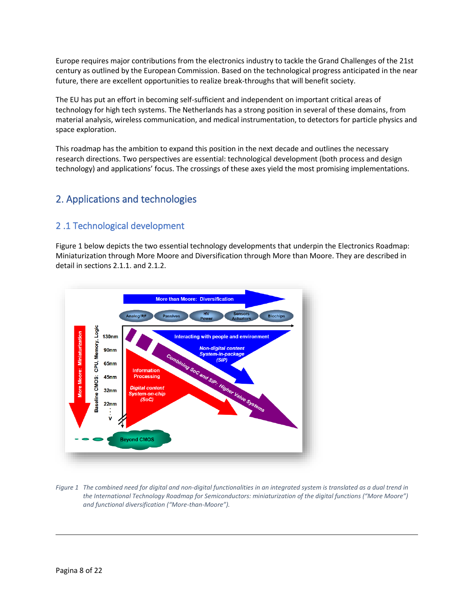Europe requires major contributions from the electronics industry to tackle the Grand Challenges of the 21st century as outlined by the European Commission. Based on the technological progress anticipated in the near future, there are excellent opportunities to realize break-throughs that will benefit society.

The EU has put an effort in becoming self-sufficient and independent on important critical areas of technology for high tech systems. The Netherlands has a strong position in several of these domains, from material analysis, wireless communication, and medical instrumentation, to detectors for particle physics and space exploration.

This roadmap has the ambition to expand this position in the next decade and outlines the necessary research directions. Two perspectives are essential: technological development (both process and design technology) and applications' focus. The crossings of these axes yield the most promising implementations.

# <span id="page-8-0"></span>2. Applications and technologies

# <span id="page-8-1"></span>2 .1 Technological development

[Figure 1](#page-8-2) below depicts the two essential technology developments that underpin the Electronics Roadmap: Miniaturization through More Moore and Diversification through More than Moore. They are described in detail in sections 2.1.1. and 2.1.2.



<span id="page-8-2"></span>*Figure 1 The combined need for digital and non-digital functionalities in an integrated system is translated as a dual trend in the International Technology Roadmap for Semiconductors: miniaturization of the digital functions ("More Moore") and functional diversification ("More-than-Moore").*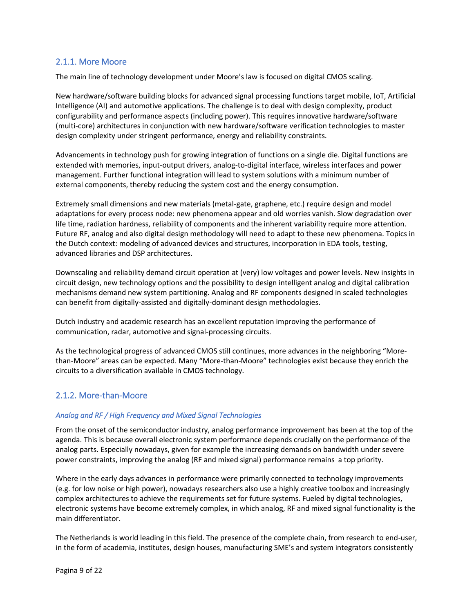### <span id="page-9-0"></span>2.1.1. More Moore

The main line of technology development under Moore's law is focused on digital CMOS scaling.

New hardware/software building blocks for advanced signal processing functions target mobile, IoT, Artificial Intelligence (AI) and automotive applications. The challenge is to deal with design complexity, product configurability and performance aspects (including power). This requires innovative hardware/software (multi-core) architectures in conjunction with new hardware/software verification technologies to master design complexity under stringent performance, energy and reliability constraints.

Advancements in technology push for growing integration of functions on a single die. Digital functions are extended with memories, input-output drivers, analog-to-digital interface, wireless interfaces and power management. Further functional integration will lead to system solutions with a minimum number of external components, thereby reducing the system cost and the energy consumption.

Extremely small dimensions and new materials (metal-gate, graphene, etc.) require design and model adaptations for every process node: new phenomena appear and old worries vanish. Slow degradation over life time, radiation hardness, reliability of components and the inherent variability require more attention. Future RF, analog and also digital design methodology will need to adapt to these new phenomena. Topics in the Dutch context: modeling of advanced devices and structures, incorporation in EDA tools, testing, advanced libraries and DSP architectures.

Downscaling and reliability demand circuit operation at (very) low voltages and power levels. New insights in circuit design, new technology options and the possibility to design intelligent analog and digital calibration mechanisms demand new system partitioning. Analog and RF components designed in scaled technologies can benefit from digitally-assisted and digitally-dominant design methodologies.

Dutch industry and academic research has an excellent reputation improving the performance of communication, radar, automotive and signal-processing circuits.

As the technological progress of advanced CMOS still continues, more advances in the neighboring "Morethan-Moore" areas can be expected. Many "More-than-Moore" technologies exist because they enrich the circuits to a diversification available in CMOS technology.

### <span id="page-9-1"></span>2.1.2. More-than-Moore

#### <span id="page-9-2"></span>*Analog and RF / High Frequency and Mixed Signal Technologies*

From the onset of the semiconductor industry, analog performance improvement has been at the top of the agenda. This is because overall electronic system performance depends crucially on the performance of the analog parts. Especially nowadays, given for example the increasing demands on bandwidth under severe power constraints, improving the analog (RF and mixed signal) performance remains a top priority.

Where in the early days advances in performance were primarily connected to technology improvements (e.g. for low noise or high power), nowadays researchers also use a highly creative toolbox and increasingly complex architectures to achieve the requirements set for future systems. Fueled by digital technologies, electronic systems have become extremely complex, in which analog, RF and mixed signal functionality is the main differentiator.

The Netherlands is world leading in this field. The presence of the complete chain, from research to end-user, in the form of academia, institutes, design houses, manufacturing SME's and system integrators consistently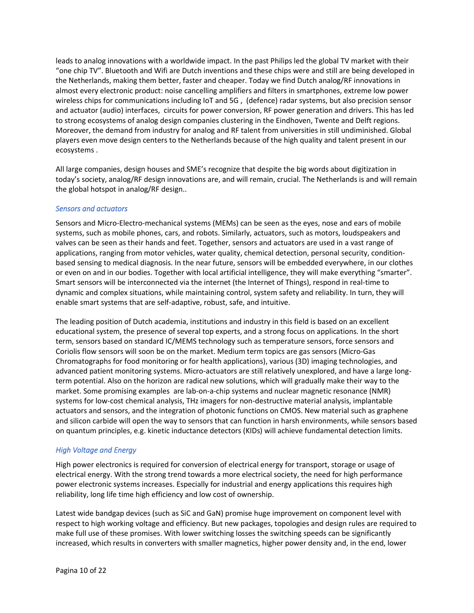leads to analog innovations with a worldwide impact. In the past Philips led the global TV market with their "one chip TV". Bluetooth and Wifi are Dutch inventions and these chips were and still are being developed in the Netherlands, making them better, faster and cheaper. Today we find Dutch analog/RF innovations in almost every electronic product: noise cancelling amplifiers and filters in smartphones, extreme low power wireless chips for communications including IoT and 5G , (defence) radar systems, but also precision sensor and actuator (audio) interfaces, circuits for power conversion, RF power generation and drivers. This has led to strong ecosystems of analog design companies clustering in the Eindhoven, Twente and Delft regions. Moreover, the demand from industry for analog and RF talent from universities in still undiminished. Global players even move design centers to the Netherlands because of the high quality and talent present in our ecosystems .

All large companies, design houses and SME's recognize that despite the big words about digitization in today's society, analog/RF design innovations are, and will remain, crucial. The Netherlands is and will remain the global hotspot in analog/RF design..

#### <span id="page-10-0"></span>*Sensors and actuators*

Sensors and Micro-Electro-mechanical systems (MEMs) can be seen as the eyes, nose and ears of mobile systems, such as mobile phones, cars, and robots. Similarly, actuators, such as motors, loudspeakers and valves can be seen as their hands and feet. Together, sensors and actuators are used in a vast range of applications, ranging from motor vehicles, water quality, chemical detection, personal security, conditionbased sensing to medical diagnosis. In the near future, sensors will be embedded everywhere, in our clothes or even on and in our bodies. Together with local artificial intelligence, they will make everything "smarter". Smart sensors will be interconnected via the internet (the Internet of Things), respond in real-time to dynamic and complex situations, while maintaining control, system safety and reliability. In turn, they will enable smart systems that are self-adaptive, robust, safe, and intuitive.

The leading position of Dutch academia, institutions and industry in this field is based on an excellent educational system, the presence of several top experts, and a strong focus on applications. In the short term, sensors based on standard IC/MEMS technology such as temperature sensors, force sensors and Coriolis flow sensors will soon be on the market. Medium term topics are gas sensors (Micro-Gas Chromatographs for food monitoring or for health applications), various (3D) imaging technologies, and advanced patient monitoring systems. Micro-actuators are still relatively unexplored, and have a large longterm potential. Also on the horizon are radical new solutions, which will gradually make their way to the market. Some promising examples are lab-on-a-chip systems and nuclear magnetic resonance (NMR) systems for low-cost chemical analysis, THz imagers for non-destructive material analysis, implantable actuators and sensors, and the integration of photonic functions on CMOS. New material such as graphene and silicon carbide will open the way to sensors that can function in harsh environments, while sensors based on quantum principles, e.g. kinetic inductance detectors (KIDs) will achieve fundamental detection limits.

#### <span id="page-10-1"></span>*High Voltage and Energy*

High power electronics is required for conversion of electrical energy for transport, storage or usage of electrical energy. With the strong trend towards a more electrical society, the need for high performance power electronic systems increases. Especially for industrial and energy applications this requires high reliability, long life time high efficiency and low cost of ownership.

Latest wide bandgap devices (such as SiC and GaN) promise huge improvement on component level with respect to high working voltage and efficiency. But new packages, topologies and design rules are required to make full use of these promises. With lower switching losses the switching speeds can be significantly increased, which results in converters with smaller magnetics, higher power density and, in the end, lower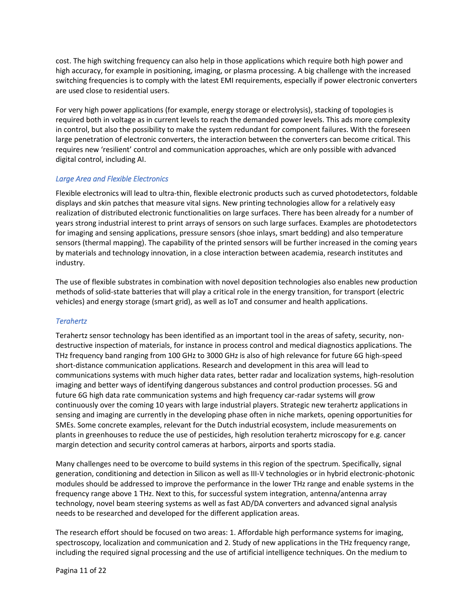cost. The high switching frequency can also help in those applications which require both high power and high accuracy, for example in positioning, imaging, or plasma processing. A big challenge with the increased switching frequencies is to comply with the latest EMI requirements, especially if power electronic converters are used close to residential users.

For very high power applications (for example, energy storage or electrolysis), stacking of topologies is required both in voltage as in current levels to reach the demanded power levels. This ads more complexity in control, but also the possibility to make the system redundant for component failures. With the foreseen large penetration of electronic converters, the interaction between the converters can become critical. This requires new 'resilient' control and communication approaches, which are only possible with advanced digital control, including AI.

#### <span id="page-11-0"></span>*Large Area and Flexible Electronics*

Flexible electronics will lead to ultra-thin, flexible electronic products such as curved photodetectors, foldable displays and skin patches that measure vital signs. New printing technologies allow for a relatively easy realization of distributed electronic functionalities on large surfaces. There has been already for a number of years strong industrial interest to print arrays of sensors on such large surfaces. Examples are photodetectors for imaging and sensing applications, pressure sensors (shoe inlays, smart bedding) and also temperature sensors (thermal mapping). The capability of the printed sensors will be further increased in the coming years by materials and technology innovation, in a close interaction between academia, research institutes and industry.

The use of flexible substrates in combination with novel deposition technologies also enables new production methods of solid-state batteries that will play a critical role in the energy transition, for transport (electric vehicles) and energy storage (smart grid), as well as IoT and consumer and health applications.

#### <span id="page-11-1"></span>*Terahertz*

Terahertz sensor technology has been identified as an important tool in the areas of safety, security, nondestructive inspection of materials, for instance in process control and medical diagnostics applications. The THz frequency band ranging from 100 GHz to 3000 GHz is also of high relevance for future 6G high-speed short-distance communication applications. Research and development in this area will lead to communications systems with much higher data rates, better radar and localization systems, high-resolution imaging and better ways of identifying dangerous substances and control production processes. 5G and future 6G high data rate communication systems and high frequency car-radar systems will grow continuously over the coming 10 years with large industrial players. Strategic new terahertz applications in sensing and imaging are currently in the developing phase often in niche markets, opening opportunities for SMEs. Some concrete examples, relevant for the Dutch industrial ecosystem, include measurements on plants in greenhouses to reduce the use of pesticides, high resolution terahertz microscopy for e.g. cancer margin detection and security control cameras at harbors, airports and sports stadia.

Many challenges need to be overcome to build systems in this region of the spectrum. Specifically, signal generation, conditioning and detection in Silicon as well as III-V technologies or in hybrid electronic-photonic modules should be addressed to improve the performance in the lower THz range and enable systems in the frequency range above 1 THz. Next to this, for successful system integration, antenna/antenna array technology, novel beam steering systems as well as fast AD/DA converters and advanced signal analysis needs to be researched and developed for the different application areas.

The research effort should be focused on two areas: 1. Affordable high performance systems for imaging, spectroscopy, localization and communication and 2. Study of new applications in the THz frequency range, including the required signal processing and the use of artificial intelligence techniques. On the medium to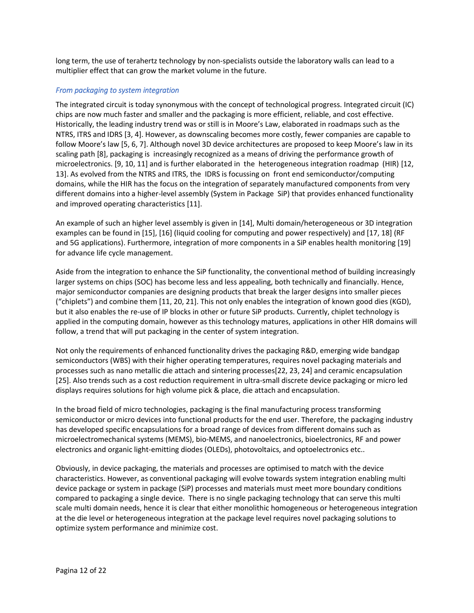long term, the use of terahertz technology by non-specialists outside the laboratory walls can lead to a multiplier effect that can grow the market volume in the future.

#### <span id="page-12-0"></span>*From packaging to system integration*

The integrated circuit is today synonymous with the concept of technological progress. Integrated circuit (IC) chips are now much faster and smaller and the packaging is more efficient, reliable, and cost effective. Historically, the leading industry trend was or still is in Moore's Law, elaborated in roadmaps such as the NTRS, ITRS and IDRS [\[3,](#page-21-4) [4\]](#page-21-2). However, as downscaling becomes more costly, fewer companies are capable to follow Moore's law [[5,](#page-21-5) [6,](#page-21-6) [7\]](#page-21-7). Although novel 3D device architectures are proposed to keep Moore's law in its scaling path [\[8\]](#page-21-8), packaging is increasingly recognized as a means of driving the performance growth of microelectronics. [\[9,](#page-21-9) [10,](#page-21-10) [11\]](#page-21-11) and is further elaborated in the heterogeneous integration roadmap (HIR) [\[12,](#page-21-12) [13\]](#page-21-13). As evolved from the NTRS and ITRS, the IDRS is focussing on front end semiconductor/computing domains, while the HIR has the focus on the integration of separately manufactured components from very different domains into a higher-level assembly (System in Package SiP) that provides enhanced functionality and improved operating characteristics [11].

An example of such an higher level assembly is given in [\[14\]](#page-21-14), Multi domain/heterogeneous or 3D integration examples can be found in [\[15\]](#page-21-15), [\[16\]](#page-21-16) (liquid cooling for computing and power respectively) and [\[17,](#page-21-17) [18\]](#page-21-18) (RF and 5G applications). Furthermore, integration of more components in a SiP enables health monitoring [\[19\]](#page-21-19) for advance life cycle management.

Aside from the integration to enhance the SiP functionality, the conventional method of building increasingly larger systems on chips (SOC) has become less and less appealing, both technically and financially. Hence, major semiconductor companies are designing products that break the larger designs into smaller pieces ("chiplets") and combine them [[11,](#page-21-11) [20,](#page-21-20) [21\]](#page-21-21). This not only enables the integration of known good dies (KGD), but it also enables the re-use of IP blocks in other or future SiP products. Currently, chiplet technology is applied in the computing domain, however as this technology matures, applications in other HIR domains will follow, a trend that will put packaging in the center of system integration.

Not only the requirements of enhanced functionality drives the packaging R&D, emerging wide bandgap semiconductors (WBS) with their higher operating temperatures, requires novel packaging materials and processes such as nano metallic die attach and sintering processes[\[22,](#page-22-0) [23,](#page-22-1) [24\]](#page-22-2) and ceramic encapsulation [\[25\]](#page-22-3). Also trends such as a cost reduction requirement in ultra-small discrete device packaging or micro led displays requires solutions for high volume pick & place, die attach and encapsulation.

In the broad field of micro technologies, packaging is the final manufacturing process transforming semiconductor or micro devices into functional products for the end user. Therefore, the packaging industry has developed specific encapsulations for a broad range of devices from different domains such as microelectromechanical systems (MEMS), bio-MEMS, and nanoelectronics, bioelectronics, RF and power electronics and organic light-emitting diodes (OLEDs), photovoltaics, and optoelectronics etc..

Obviously, in device packaging, the materials and processes are optimised to match with the device characteristics. However, as conventional packaging will evolve towards system integration enabling multi device package or system in package (SiP) processes and materials must meet more boundary conditions compared to packaging a single device. There is no single packaging technology that can serve this multi scale multi domain needs, hence it is clear that either monolithic homogeneous or heterogeneous integration at the die level or heterogeneous integration at the package level requires novel packaging solutions to optimize system performance and minimize cost.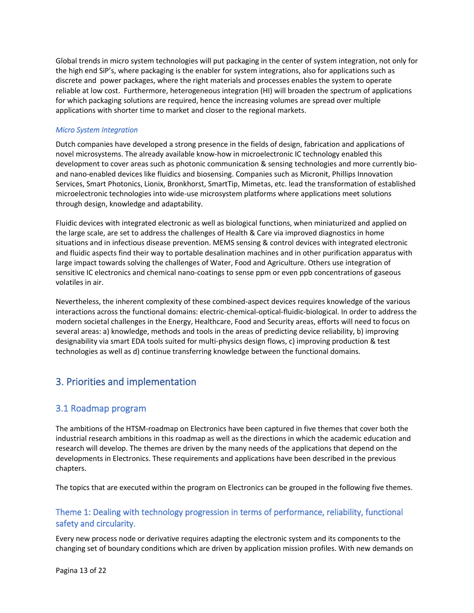Global trends in micro system technologies will put packaging in the center of system integration, not only for the high end SiP's, where packaging is the enabler for system integrations, also for applications such as discrete and power packages, where the right materials and processes enables the system to operate reliable at low cost. Furthermore, heterogeneous integration (HI) will broaden the spectrum of applications for which packaging solutions are required, hence the increasing volumes are spread over multiple applications with shorter time to market and closer to the regional markets.

#### <span id="page-13-0"></span>*Micro System Integration*

Dutch companies have developed a strong presence in the fields of design, fabrication and applications of novel microsystems. The already available know-how in microelectronic IC technology enabled this development to cover areas such as photonic communication & sensing technologies and more currently bioand nano-enabled devices like fluidics and biosensing. Companies such as Micronit, Phillips Innovation Services, Smart Photonics, Lionix, Bronkhorst, SmartTip, Mimetas, etc. lead the transformation of established microelectronic technologies into wide-use microsystem platforms where applications meet solutions through design, knowledge and adaptability.

Fluidic devices with integrated electronic as well as biological functions, when miniaturized and applied on the large scale, are set to address the challenges of Health & Care via improved diagnostics in home situations and in infectious disease prevention. MEMS sensing & control devices with integrated electronic and fluidic aspects find their way to portable desalination machines and in other purification apparatus with large impact towards solving the challenges of Water, Food and Agriculture. Others use integration of sensitive IC electronics and chemical nano-coatings to sense ppm or even ppb concentrations of gaseous volatiles in air.

Nevertheless, the inherent complexity of these combined-aspect devices requires knowledge of the various interactions across the functional domains: electric-chemical-optical-fluidic-biological. In order to address the modern societal challenges in the Energy, Healthcare, Food and Security areas, efforts will need to focus on several areas: a) knowledge, methods and tools in the areas of predicting device reliability, b) improving designability via smart EDA tools suited for multi-physics design flows, c) improving production & test technologies as well as d) continue transferring knowledge between the functional domains.

# <span id="page-13-1"></span>3. Priorities and implementation

### <span id="page-13-2"></span>3.1 Roadmap program

The ambitions of the HTSM-roadmap on Electronics have been captured in five themes that cover both the industrial research ambitions in this roadmap as well as the directions in which the academic education and research will develop. The themes are driven by the many needs of the applications that depend on the developments in Electronics. These requirements and applications have been described in the previous chapters.

The topics that are executed within the program on Electronics can be grouped in the following five themes.

## <span id="page-13-3"></span>Theme 1: Dealing with technology progression in terms of performance, reliability, functional safety and circularity.

Every new process node or derivative requires adapting the electronic system and its components to the changing set of boundary conditions which are driven by application mission profiles. With new demands on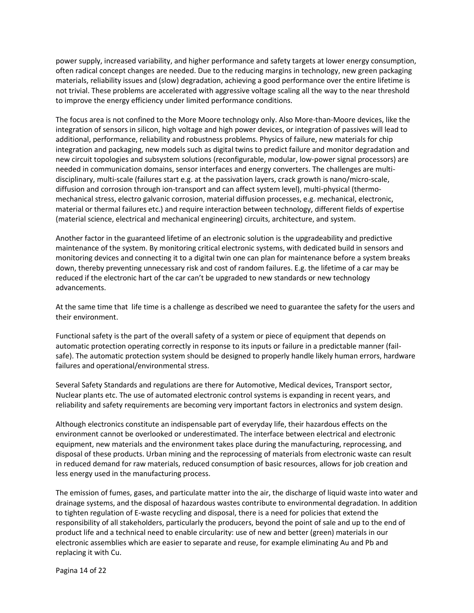power supply, increased variability, and higher performance and safety targets at lower energy consumption, often radical concept changes are needed. Due to the reducing margins in technology, new green packaging materials, reliability issues and (slow) degradation, achieving a good performance over the entire lifetime is not trivial. These problems are accelerated with aggressive voltage scaling all the way to the near threshold to improve the energy efficiency under limited performance conditions.

The focus area is not confined to the More Moore technology only. Also More-than-Moore devices, like the integration of sensors in silicon, high voltage and high power devices, or integration of passives will lead to additional, performance, reliability and robustness problems. Physics of failure, new materials for chip integration and packaging, new models such as digital twins to predict failure and monitor degradation and new circuit topologies and subsystem solutions (reconfigurable, modular, low-power signal processors) are needed in communication domains, sensor interfaces and energy converters. The challenges are multidisciplinary, multi-scale (failures start e.g. at the passivation layers, crack growth is nano/micro-scale, diffusion and corrosion through ion-transport and can affect system level), multi-physical (thermomechanical stress, electro galvanic corrosion, material diffusion processes, e.g. mechanical, electronic, material or thermal failures etc.) and require interaction between technology, different fields of expertise (material science, electrical and mechanical engineering) circuits, architecture, and system.

Another factor in the guaranteed lifetime of an electronic solution is the upgradeability and predictive maintenance of the system. By monitoring critical electronic systems, with dedicated build in sensors and monitoring devices and connecting it to a digital twin one can plan for maintenance before a system breaks down, thereby preventing unnecessary risk and cost of random failures. E.g. the lifetime of a car may be reduced if the electronic hart of the car can't be upgraded to new standards or new technology advancements.

At the same time that life time is a challenge as described we need to guarantee the safety for the users and their environment.

Functional safety is the part of the overall safety of a system or piece of equipment that depends on automatic protection operating correctly in response to its inputs or failure in a predictable manner (failsafe). The automatic protection system should be designed to properly handle likely human errors, hardware failures and operational/environmental stress.

Several Safety Standards and regulations are there for Automotive, Medical devices, Transport sector, Nuclear plants etc. The use of automated electronic control systems is expanding in recent years, and reliability and safety requirements are becoming very important factors in electronics and system design.

Although electronics constitute an indispensable part of everyday life, their hazardous effects on the environment cannot be overlooked or underestimated. The interface between electrical and electronic equipment, new materials and the environment takes place during the manufacturing, reprocessing, and disposal of these products. Urban mining and the reprocessing of materials from electronic waste can result in reduced demand for raw materials, reduced consumption of basic resources, allows for job creation and less energy used in the manufacturing process.

The emission of fumes, gases, and particulate matter into the air, the discharge of liquid waste into water and drainage systems, and the disposal of hazardous wastes contribute to environmental degradation. In addition to tighten regulation of E-waste recycling and disposal, there is a need for policies that extend the responsibility of all stakeholders, particularly the producers, beyond the point of sale and up to the end of product life and a technical need to enable circularity: use of new and better (green) materials in our electronic assemblies which are easier to separate and reuse, for example eliminating Au and Pb and replacing it with Cu.

Pagina 14 of 22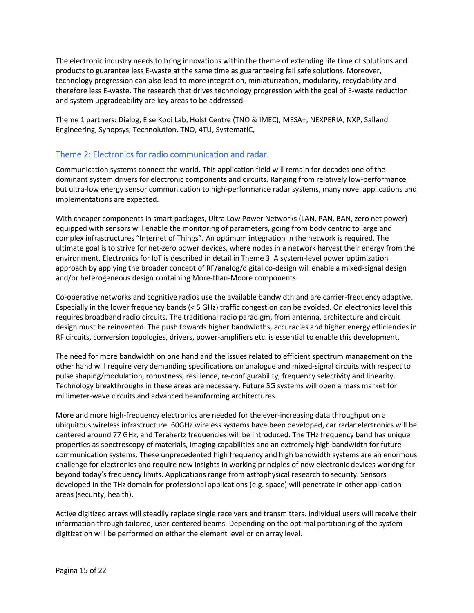The electronic industry needs to bring innovations within the theme of extending life time of solutions and products to guarantee less E-waste at the same time as guaranteeing fail safe solutions. Moreover, technology progression can also lead to more integration, miniaturization, modularity, recyclability and therefore less E-waste. The research that drives technology progression with the goal of E-waste reduction and system upgradeability are key areas to be addressed.

Theme 1 partners: Dialog, Else Kooi Lab, Holst Centre (TNO & IMEC), MESA+, NEXPERIA, NXP, Salland Engineering, Synopsys, Technolution, TNO, 4TU, SystematIC,

### <span id="page-15-0"></span>Theme 2: Electronics for radio communication and radar.

Communication systems connect the world. This application field will remain for decades one of the dominant system drivers for electronic components and circuits. Ranging from relatively low-performance but ultra-low energy sensor communication to high-performance radar systems, many novel applications and implementations are expected.

With cheaper components in smart packages, Ultra Low Power Networks (LAN, PAN, BAN, zero net power) equipped with sensors will enable the monitoring of parameters, going from body centric to large and complex infrastructures "Internet of Things". An optimum integration in the network is required. The ultimate goal is to strive for net-zero power devices, where nodes in a network harvest their energy from the environment. Electronics for IoT is described in detail in Theme 3. A system-level power optimization approach by applying the broader concept of RF/analog/digital co-design will enable a mixed-signal design and/or heterogeneous design containing More-than-Moore components.

Co-operative networks and cognitive radios use the available bandwidth and are carrier-frequency adaptive. Especially in the lower frequency bands (< 5 GHz) traffic congestion can be avoided. On electronics level this requires broadband radio circuits. The traditional radio paradigm, from antenna, architecture and circuit design must be reinvented. The push towards higher bandwidths, accuracies and higher energy efficiencies in RF circuits, conversion topologies, drivers, power-amplifiers etc. is essential to enable this development.

The need for more bandwidth on one hand and the issues related to efficient spectrum management on the other hand will require very demanding specifications on analogue and mixed-signal circuits with respect to pulse shaping/modulation, robustness, resilience, re-configurability, frequency selectivity and linearity. Technology breakthroughs in these areas are necessary. Future 5G systems will open a mass market for millimeter-wave circuits and advanced beamforming architectures.

More and more high-frequency electronics are needed for the ever-increasing data throughput on a ubiquitous wireless infrastructure. 60GHz wireless systems have been developed, car radar electronics will be centered around 77 GHz, and Terahertz frequencies will be introduced. The THz frequency band has unique properties as spectroscopy of materials, imaging capabilities and an extremely high bandwidth for future communication systems. These unprecedented high frequency and high bandwidth systems are an enormous challenge for electronics and require new insights in working principles of new electronic devices working far beyond today's frequency limits. Applications range from astrophysical research to security. Sensors developed in the THz domain for professional applications (e.g. space) will penetrate in other application areas (security, health).

Active digitized arrays will steadily replace single receivers and transmitters. Individual users will receive their information through tailored, user-centered beams. Depending on the optimal partitioning of the system digitization will be performed on either the element level or on array level.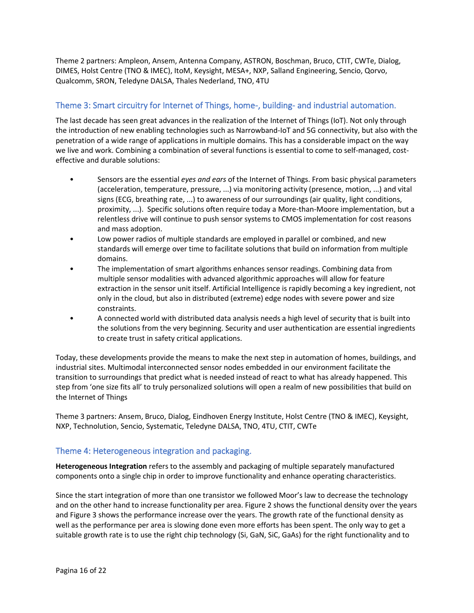Theme 2 partners: Ampleon, Ansem, Antenna Company, ASTRON, Boschman, Bruco, CTIT, CWTe, Dialog, DIMES, Holst Centre (TNO & IMEC), ItoM, Keysight, MESA+, NXP, Salland Engineering, Sencio, Qorvo, Qualcomm, SRON, Teledyne DALSA, Thales Nederland, TNO, 4TU

# <span id="page-16-0"></span>Theme 3: Smart circuitry for Internet of Things, home-, building- and industrial automation.

The last decade has seen great advances in the realization of the Internet of Things (IoT). Not only through the introduction of new enabling technologies such as Narrowband-IoT and 5G connectivity, but also with the penetration of a wide range of applications in multiple domains. This has a considerable impact on the way we live and work. Combining a combination of several functions is essential to come to self-managed, costeffective and durable solutions:

- Sensors are the essential *eyes and ears* of the Internet of Things. From basic physical parameters (acceleration, temperature, pressure, ...) via monitoring activity (presence, motion, ...) and vital signs (ECG, breathing rate, ...) to awareness of our surroundings (air quality, light conditions, proximity, ...). Specific solutions often require today a More-than-Moore implementation, but a relentless drive will continue to push sensor systems to CMOS implementation for cost reasons and mass adoption.
- Low power radios of multiple standards are employed in parallel or combined, and new standards will emerge over time to facilitate solutions that build on information from multiple domains.
- The implementation of smart algorithms enhances sensor readings. Combining data from multiple sensor modalities with advanced algorithmic approaches will allow for feature extraction in the sensor unit itself. Artificial Intelligence is rapidly becoming a key ingredient, not only in the cloud, but also in distributed (extreme) edge nodes with severe power and size constraints.
- A connected world with distributed data analysis needs a high level of security that is built into the solutions from the very beginning. Security and user authentication are essential ingredients to create trust in safety critical applications.

Today, these developments provide the means to make the next step in automation of homes, buildings, and industrial sites. Multimodal interconnected sensor nodes embedded in our environment facilitate the transition to surroundings that predict what is needed instead of react to what has already happened. This step from 'one size fits all' to truly personalized solutions will open a realm of new possibilities that build on the Internet of Things

Theme 3 partners: Ansem, Bruco, Dialog, Eindhoven Energy Institute, Holst Centre (TNO & IMEC), Keysight, NXP, Technolution, Sencio, Systematic, Teledyne DALSA, TNO, 4TU, CTIT, CWTe

### <span id="page-16-1"></span>Theme 4: Heterogeneous integration and packaging.

**Heterogeneous Integration** refers to the assembly and packaging of multiple separately manufactured components onto a single chip in order to improve functionality and enhance operating characteristics.

Since the start integration of more than one transistor we followed Moor's law to decrease the technology and on the other hand to increase functionality per area[. Figure 2](#page-17-0) shows the functional density over the years an[d Figure 3](#page-18-1) shows the performance increase over the years. The growth rate of the functional density as well as the performance per area is slowing done even more efforts has been spent. The only way to get a suitable growth rate is to use the right chip technology (Si, GaN, SiC, GaAs) for the right functionality and to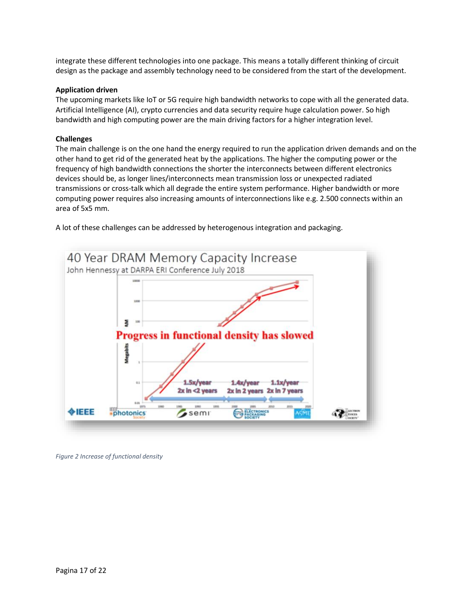integrate these different technologies into one package. This means a totally different thinking of circuit design as the package and assembly technology need to be considered from the start of the development.

#### **Application driven**

The upcoming markets like IoT or 5G require high bandwidth networks to cope with all the generated data. Artificial Intelligence (AI), crypto currencies and data security require huge calculation power. So high bandwidth and high computing power are the main driving factors for a higher integration level.

#### **Challenges**

The main challenge is on the one hand the energy required to run the application driven demands and on the other hand to get rid of the generated heat by the applications. The higher the computing power or the frequency of high bandwidth connections the shorter the interconnects between different electronics devices should be, as longer lines/interconnects mean transmission loss or unexpected radiated transmissions or cross-talk which all degrade the entire system performance. Higher bandwidth or more computing power requires also increasing amounts of interconnections like e.g. 2.500 connects within an area of 5x5 mm.

A lot of these challenges can be addressed by heterogenous integration and packaging.



<span id="page-17-0"></span>*Figure 2 Increase of functional density*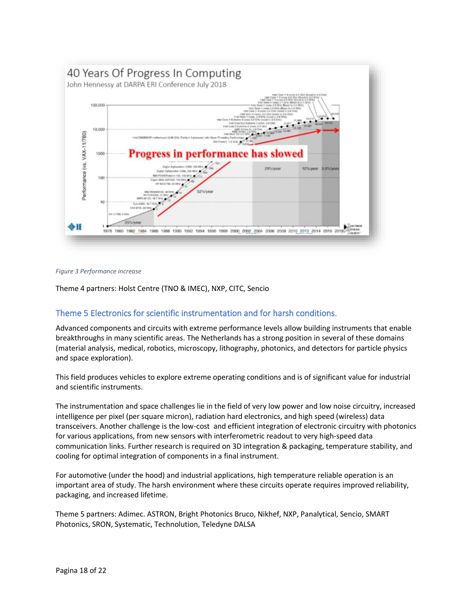

#### <span id="page-18-1"></span>*Figure 3 Performance increase*

Theme 4 partners: Holst Centre (TNO & IMEC), NXP, CITC, Sencio

### <span id="page-18-0"></span>Theme 5 Electronics for scientific instrumentation and for harsh conditions.

Advanced components and circuits with extreme performance levels allow building instruments that enable breakthroughs in many scientific areas. The Netherlands has a strong position in several of these domains (material analysis, medical, robotics, microscopy, lithography, photonics, and detectors for particle physics and space exploration).

This field produces vehicles to explore extreme operating conditions and is of significant value for industrial and scientific instruments.

The instrumentation and space challenges lie in the field of very low power and low noise circuitry, increased intelligence per pixel (per square micron), radiation hard electronics, and high speed (wireless) data transceivers. Another challenge is the low-cost and efficient integration of electronic circuitry with photonics for various applications, from new sensors with interferometric readout to very high-speed data communication links. Further research is required on 3D integration & packaging, temperature stability, and cooling for optimal integration of components in a final instrument.

For automotive (under the hood) and industrial applications, high temperature reliable operation is an important area of study. The harsh environment where these circuits operate requires improved reliability, packaging, and increased lifetime.

Theme 5 partners: Adimec. ASTRON, Bright Photonics Bruco, Nikhef, NXP, Panalytical, Sencio, SMART Photonics, SRON, Systematic, Technolution, Teledyne DALSA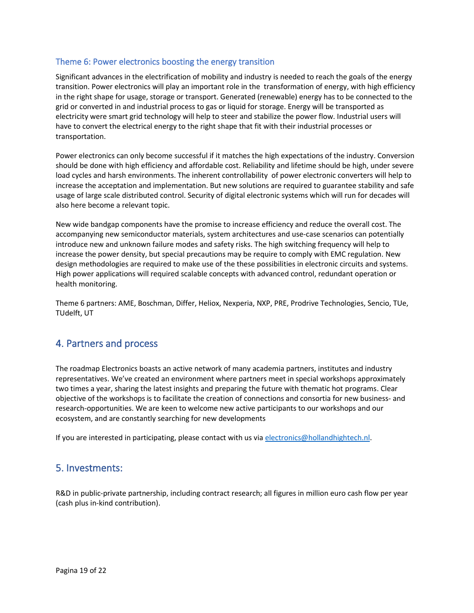#### <span id="page-19-0"></span>Theme 6: Power electronics boosting the energy transition

Significant advances in the electrification of mobility and industry is needed to reach the goals of the energy transition. Power electronics will play an important role in the transformation of energy, with high efficiency in the right shape for usage, storage or transport. Generated (renewable) energy has to be connected to the grid or converted in and industrial process to gas or liquid for storage. Energy will be transported as electricity were smart grid technology will help to steer and stabilize the power flow. Industrial users will have to convert the electrical energy to the right shape that fit with their industrial processes or transportation.

Power electronics can only become successful if it matches the high expectations of the industry. Conversion should be done with high efficiency and affordable cost. Reliability and lifetime should be high, under severe load cycles and harsh environments. The inherent controllability of power electronic converters will help to increase the acceptation and implementation. But new solutions are required to guarantee stability and safe usage of large scale distributed control. Security of digital electronic systems which will run for decades will also here become a relevant topic.

New wide bandgap components have the promise to increase efficiency and reduce the overall cost. The accompanying new semiconductor materials, system architectures and use-case scenarios can potentially introduce new and unknown failure modes and safety risks. The high switching frequency will help to increase the power density, but special precautions may be require to comply with EMC regulation. New design methodologies are required to make use of the these possibilities in electronic circuits and systems. High power applications will required scalable concepts with advanced control, redundant operation or health monitoring.

Theme 6 partners: AME, Boschman, Differ, Heliox, Nexperia, NXP, PRE, Prodrive Technologies, Sencio, TUe, TUdelft, UT

# <span id="page-19-1"></span>4. Partners and process

The roadmap Electronics boasts an active network of many academia partners, institutes and industry representatives. We've created an environment where partners meet in special workshops approximately two times a year, sharing the latest insights and preparing the future with thematic hot programs. Clear objective of the workshops is to facilitate the creation of connections and consortia for new business- and research-opportunities. We are keen to welcome new active participants to our workshops and our ecosystem, and are constantly searching for new developments

If you are interested in participating, please contact with us vi[a electronics@hollandhightech.nl.](mailto:electronics@hollandhightech.nl)

# <span id="page-19-2"></span>5. Investments:

R&D in public-private partnership, including contract research; all figures in million euro cash flow per year (cash plus in-kind contribution).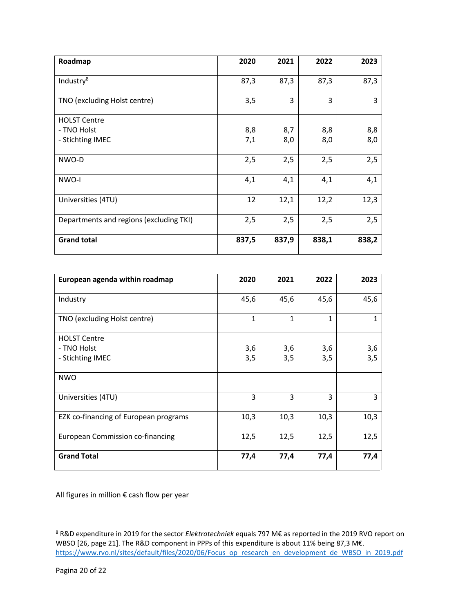| Roadmap                                 | 2020  | 2021  | 2022  | 2023  |
|-----------------------------------------|-------|-------|-------|-------|
| Industry <sup>8</sup>                   | 87,3  | 87,3  | 87,3  | 87,3  |
| TNO (excluding Holst centre)            | 3,5   | 3     | 3     | 3     |
| <b>HOLST Centre</b>                     |       |       |       |       |
| - TNO Holst                             | 8,8   | 8,7   | 8,8   | 8,8   |
| - Stichting IMEC                        | 7,1   | 8,0   | 8,0   | 8,0   |
| NWO-D                                   | 2,5   | 2,5   | 2,5   | 2,5   |
| NWO-I                                   | 4,1   | 4,1   | 4,1   | 4,1   |
| Universities (4TU)                      | 12    | 12,1  | 12,2  | 12,3  |
| Departments and regions (excluding TKI) | 2,5   | 2,5   | 2,5   | 2,5   |
| <b>Grand total</b>                      | 837,5 | 837,9 | 838,1 | 838,2 |

| European agenda within roadmap          | 2020 | 2021         | 2022 | 2023 |
|-----------------------------------------|------|--------------|------|------|
| Industry                                | 45,6 | 45,6         | 45,6 | 45,6 |
| TNO (excluding Holst centre)            | 1    | $\mathbf{1}$ | 1    | 1    |
| <b>HOLST Centre</b>                     |      |              |      |      |
| - TNO Holst                             | 3,6  | 3,6          | 3,6  | 3,6  |
| - Stichting IMEC                        | 3,5  | 3,5          | 3,5  | 3,5  |
| <b>NWO</b>                              |      |              |      |      |
| Universities (4TU)                      | 3    | 3            | 3    | 3    |
| EZK co-financing of European programs   | 10,3 | 10,3         | 10,3 | 10,3 |
| <b>European Commission co-financing</b> | 12,5 | 12,5         | 12,5 | 12,5 |
| <b>Grand Total</b>                      | 77,4 | 77,4         | 77,4 | 77,4 |

All figures in million € cash flow per year

<sup>8</sup> R&D expenditure in 2019 for the sector *Elektrotechniek* equals 797 M€ as reported in the 2019 RVO report on WBSO [\[26,](#page-22-4) page 21]. The R&D component in PPPs of this expenditure is about 11% being 87,3 M€. https://www.rvo.nl/sites/default/files/2020/06/Focus op\_research\_en\_development\_de\_WBSO\_in\_2019.pdf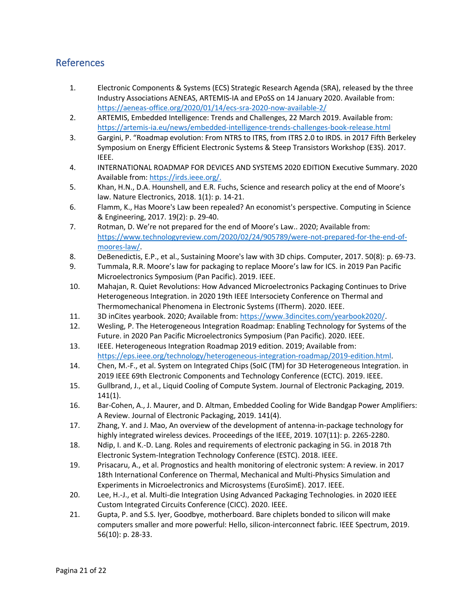# <span id="page-21-0"></span>References

- <span id="page-21-1"></span>1. Electronic Components & Systems (ECS) Strategic Research Agenda (SRA), released by the three Industry Associations AENEAS, ARTEMIS-IA and EPoSS on 14 January 2020. Available from: <https://aeneas-office.org/2020/01/14/ecs-sra-2020-now-available-2/>
- <span id="page-21-3"></span>2. ARTEMIS, Embedded Intelligence: Trends and Challenges, 22 March 2019. Available from: <https://artemis-ia.eu/news/embedded-intelligence-trends-challenges-book-release.html>
- <span id="page-21-4"></span>3. Gargini, P. "Roadmap evolution: From NTRS to ITRS, from ITRS 2.0 to IRDS. in 2017 Fifth Berkeley Symposium on Energy Efficient Electronic Systems & Steep Transistors Workshop (E3S). 2017. IEEE.
- <span id="page-21-2"></span>4. INTERNATIONAL ROADMAP FOR DEVICES AND SYSTEMS 2020 EDITION Executive Summary. 2020 Available from: [https://irds.ieee.org/.](https://irds.ieee.org/)
- <span id="page-21-5"></span>5. Khan, H.N., D.A. Hounshell, and E.R. Fuchs, Science and research policy at the end of Moore's law. Nature Electronics, 2018. 1(1): p. 14-21.
- <span id="page-21-6"></span>6. Flamm, K., Has Moore's Law been repealed? An economist's perspective. Computing in Science & Engineering, 2017. 19(2): p. 29-40.
- <span id="page-21-7"></span>7. Rotman, D. We're not prepared for the end of Moore's Law.. 2020; Available from: [https://www.technologyreview.com/2020/02/24/905789/were-not-prepared-for-the-end-of](https://www.technologyreview.com/2020/02/24/905789/were-not-prepared-for-the-end-of-moores-law/)[moores-law/.](https://www.technologyreview.com/2020/02/24/905789/were-not-prepared-for-the-end-of-moores-law/)
- <span id="page-21-8"></span>8. DeBenedictis, E.P., et al., Sustaining Moore's law with 3D chips. Computer, 2017. 50(8): p. 69-73.
- <span id="page-21-9"></span>9. Tummala, R.R. Moore's law for packaging to replace Moore's law for ICS. in 2019 Pan Pacific Microelectronics Symposium (Pan Pacific). 2019. IEEE.
- <span id="page-21-10"></span>10. Mahajan, R. Quiet Revolutions: How Advanced Microelectronics Packaging Continues to Drive Heterogeneous Integration. in 2020 19th IEEE Intersociety Conference on Thermal and Thermomechanical Phenomena in Electronic Systems (ITherm). 2020. IEEE.
- <span id="page-21-11"></span>11. 3D inCites yearbook. 2020; Available from: [https://www.3dincites.com/yearbook2020/.](https://www.3dincites.com/yearbook2020/)
- <span id="page-21-12"></span>12. Wesling, P. The Heterogeneous Integration Roadmap: Enabling Technology for Systems of the Future. in 2020 Pan Pacific Microelectronics Symposium (Pan Pacific). 2020. IEEE.
- <span id="page-21-13"></span>13. IEEE. Heterogeneous Integration Roadmap 2019 edition. 2019; Available from: [https://eps.ieee.org/technology/heterogeneous-integration-roadmap/2019-edition.html.](https://eps.ieee.org/technology/heterogeneous-integration-roadmap/2019-edition.html)
- <span id="page-21-14"></span>14. Chen, M.-F., et al. System on Integrated Chips (SoIC (TM) for 3D Heterogeneous Integration. in 2019 IEEE 69th Electronic Components and Technology Conference (ECTC). 2019. IEEE.
- <span id="page-21-15"></span>15. Gullbrand, J., et al., Liquid Cooling of Compute System. Journal of Electronic Packaging, 2019. 141(1).
- <span id="page-21-16"></span>16. Bar-Cohen, A., J. Maurer, and D. Altman, Embedded Cooling for Wide Bandgap Power Amplifiers: A Review. Journal of Electronic Packaging, 2019. 141(4).
- <span id="page-21-17"></span>17. Zhang, Y. and J. Mao, An overview of the development of antenna-in-package technology for highly integrated wireless devices. Proceedings of the IEEE, 2019. 107(11): p. 2265-2280.
- <span id="page-21-18"></span>18. Ndip, I. and K.-D. Lang. Roles and requirements of electronic packaging in 5G. in 2018 7th Electronic System-Integration Technology Conference (ESTC). 2018. IEEE.
- <span id="page-21-19"></span>19. Prisacaru, A., et al. Prognostics and health monitoring of electronic system: A review. in 2017 18th International Conference on Thermal, Mechanical and Multi-Physics Simulation and Experiments in Microelectronics and Microsystems (EuroSimE). 2017. IEEE.
- <span id="page-21-20"></span>20. Lee, H.-J., et al. Multi-die Integration Using Advanced Packaging Technologies. in 2020 IEEE Custom Integrated Circuits Conference (CICC). 2020. IEEE.
- <span id="page-21-21"></span>21. Gupta, P. and S.S. Iyer, Goodbye, motherboard. Bare chiplets bonded to silicon will make computers smaller and more powerful: Hello, silicon-interconnect fabric. IEEE Spectrum, 2019. 56(10): p. 28-33.